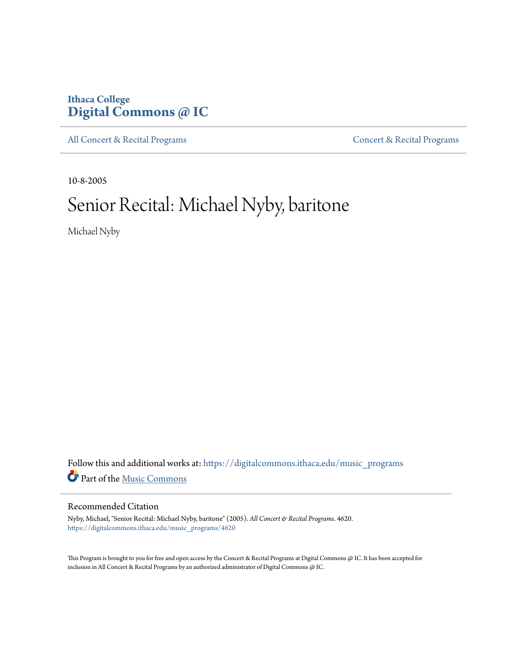# **Ithaca College [Digital Commons @ IC](https://digitalcommons.ithaca.edu?utm_source=digitalcommons.ithaca.edu%2Fmusic_programs%2F4620&utm_medium=PDF&utm_campaign=PDFCoverPages)**

[All Concert & Recital Programs](https://digitalcommons.ithaca.edu/music_programs?utm_source=digitalcommons.ithaca.edu%2Fmusic_programs%2F4620&utm_medium=PDF&utm_campaign=PDFCoverPages) **[Concert & Recital Programs](https://digitalcommons.ithaca.edu/som_programs?utm_source=digitalcommons.ithaca.edu%2Fmusic_programs%2F4620&utm_medium=PDF&utm_campaign=PDFCoverPages)** 

10-8-2005

# Senior Recital: Michael Nyby, baritone

Michael Nyby

Follow this and additional works at: [https://digitalcommons.ithaca.edu/music\\_programs](https://digitalcommons.ithaca.edu/music_programs?utm_source=digitalcommons.ithaca.edu%2Fmusic_programs%2F4620&utm_medium=PDF&utm_campaign=PDFCoverPages) Part of the [Music Commons](http://network.bepress.com/hgg/discipline/518?utm_source=digitalcommons.ithaca.edu%2Fmusic_programs%2F4620&utm_medium=PDF&utm_campaign=PDFCoverPages)

#### Recommended Citation

Nyby, Michael, "Senior Recital: Michael Nyby, baritone" (2005). *All Concert & Recital Programs*. 4620. [https://digitalcommons.ithaca.edu/music\\_programs/4620](https://digitalcommons.ithaca.edu/music_programs/4620?utm_source=digitalcommons.ithaca.edu%2Fmusic_programs%2F4620&utm_medium=PDF&utm_campaign=PDFCoverPages)

This Program is brought to you for free and open access by the Concert & Recital Programs at Digital Commons @ IC. It has been accepted for inclusion in All Concert & Recital Programs by an authorized administrator of Digital Commons @ IC.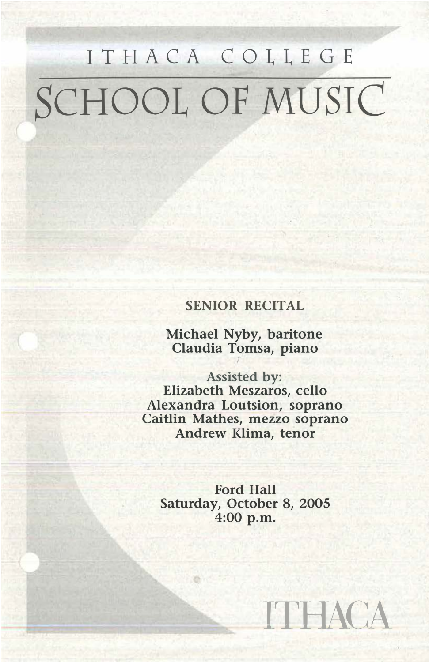# ITHACA COLLEGE SCHOOL OF MUSIC

## **SENIOR RECITAL**

**Michael Nyby, baritone Claudia Tomsa, piano** 

**Assisted by: Elizabeth Meszaros, cello Alexandra Loutsion, soprano Caitlin Mathes, mezzo soprano Andrew Klima, tenor** 

**Ford Hall Saturday, October 8, 2005 4:00 p.m.**